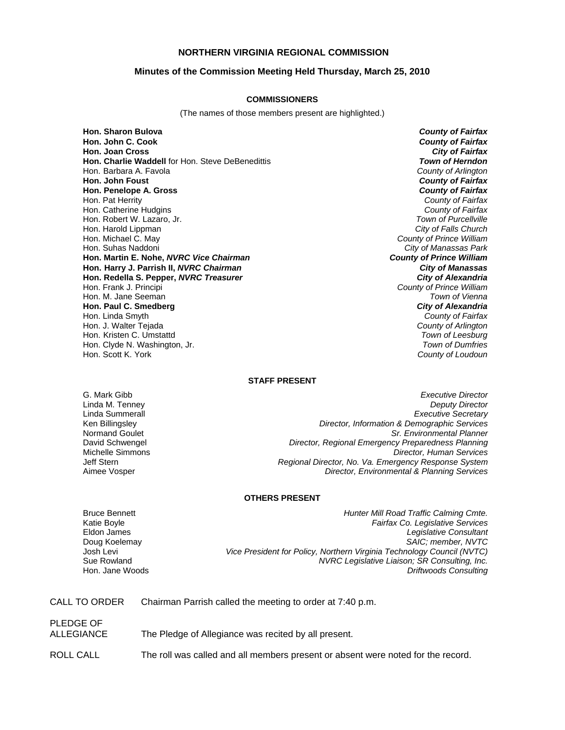# **NORTHERN VIRGINIA REGIONAL COMMISSION**

### **Minutes of the Commission Meeting Held Thursday, March 25, 2010**

#### **COMMISSIONERS**

(The names of those members present are highlighted.)

**Hon. Sharon Bulova** *County of Fairfax* **Hon. John C. Cook** *County of Fairfax* **Hon. Joan Cross Hon. Charlie Waddell** for Hon. Steve DeBenedittis *Town of Herndon* Hon. Barbara A. Favola *County of Arlington* **Hon. John Foust** *County of Fairfax* **Hon. Penelope A. Gross** Hon. Pat Herrity *County of Fairfax* Hon. Catherine Hudgins *County of Fairfax* Hon. Robert W. Lazaro, Jr. Hon. Harold Lippman *City of Falls Church* Hon. Michael C. May *County of Prince William* Hon. Suhas Naddoni *City of Manassas Park* **Hon. Martin E. Nohe,** *NVRC Vice Chairman* **Hon. Harry J. Parrish II,** *NVRC Chairman City of Manassas* **Hon. Redella S. Pepper,** *NVRC Treasurer City of Alexandria* Hon. Frank J. Principi *County of Prince William* Hon. M. Jane Seeman *Town of Vienna* **Hon. Paul C. Smedberg** *City of Alexandria* Hon. Linda Smyth *County of Fairfax* Hon. J. Walter Tejada *County of Arlington* Hon. Kristen C. Umstattd *Town of Leesburg* Hon. Clyde N. Washington, Jr. **Hon. Scott K. York** 

**County of Loudoun** 

### **STAFF PRESENT**

G. Mark Gibb *Executive Director* Linda M. Tenney *Deputy Director* Linda Summerall *Executive Secretary* Ken Billingsley *Director, Information & Demographic Services* Normand Goulet *Sr. Environmental Planner* David Schwengel *Director, Regional Emergency Preparedness Planning* Michelle Simmons *Director, Human Services* Jeff Stern *Regional Director, No. Va. Emergency Response System* Aimee Vosper *Director, Environmental & Planning Services*

# **OTHERS PRESENT**

Bruce Bennett *Hunter Mill Road Traffic Calming Cmte.* Katie Boyle *Fairfax Co. Legislative Services* Eldon James *Legislative Consultant* Doug Koelemay *SAIC; member, NVTC* Josh Levi *Vice President for Policy, Northern Virginia Technology Council (NVTC)* Sue Rowland *NVRC Legislative Liaison; SR Consulting, Inc.* **Driftwoods Consulting** 

CALL TO ORDER Chairman Parrish called the meeting to order at 7:40 p.m.

| PLEDGE OF<br>ALLEGIANCE | The Pledge of Allegiance was recited by all present.                             |
|-------------------------|----------------------------------------------------------------------------------|
| ROLL CALL               | The roll was called and all members present or absent were noted for the record. |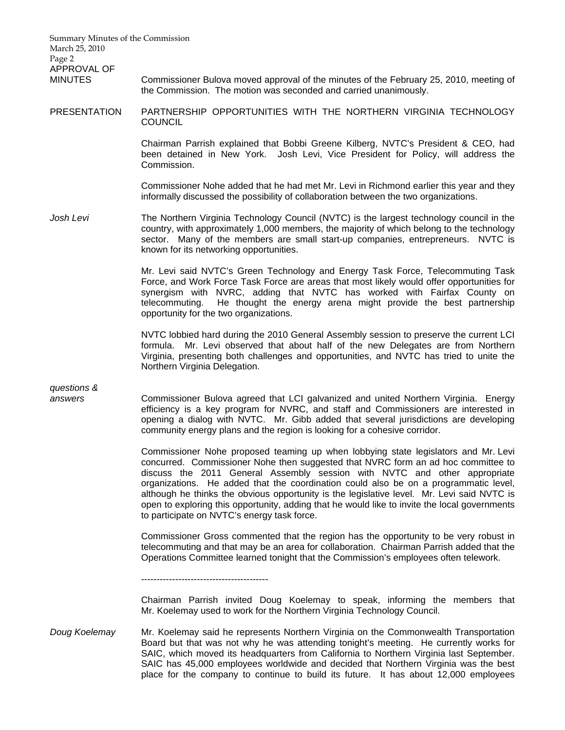Summary Minutes of the Commission March 25, 2010 Page 2 APPROVAL OF MINUTES Commissioner Bulova moved approval of the minutes of the February 25, 2010, meeting of the Commission. The motion was seconded and carried unanimously. PRESENTATION PARTNERSHIP OPPORTUNITIES WITH THE NORTHERN VIRGINIA TECHNOLOGY **COUNCIL**  Chairman Parrish explained that Bobbi Greene Kilberg, NVTC's President & CEO, had been detained in New York. Josh Levi, Vice President for Policy, will address the Commission. Commissioner Nohe added that he had met Mr. Levi in Richmond earlier this year and they informally discussed the possibility of collaboration between the two organizations. *Josh Levi* The Northern Virginia Technology Council (NVTC) is the largest technology council in the country, with approximately 1,000 members, the majority of which belong to the technology sector. Many of the members are small start-up companies, entrepreneurs. NVTC is known for its networking opportunities. Mr. Levi said NVTC's Green Technology and Energy Task Force, Telecommuting Task Force, and Work Force Task Force are areas that most likely would offer opportunities for synergism with NVRC, adding that NVTC has worked with Fairfax County on telecommuting. He thought the energy arena might provide the best partnership opportunity for the two organizations. NVTC lobbied hard during the 2010 General Assembly session to preserve the current LCI formula. Mr. Levi observed that about half of the new Delegates are from Northern Virginia, presenting both challenges and opportunities, and NVTC has tried to unite the Northern Virginia Delegation. *questions & answers* Commissioner Bulova agreed that LCI galvanized and united Northern Virginia. Energy efficiency is a key program for NVRC, and staff and Commissioners are interested in opening a dialog with NVTC. Mr. Gibb added that several jurisdictions are developing community energy plans and the region is looking for a cohesive corridor. Commissioner Nohe proposed teaming up when lobbying state legislators and Mr. Levi concurred. Commissioner Nohe then suggested that NVRC form an ad hoc committee to discuss the 2011 General Assembly session with NVTC and other appropriate organizations. He added that the coordination could also be on a programmatic level, although he thinks the obvious opportunity is the legislative level. Mr. Levi said NVTC is open to exploring this opportunity, adding that he would like to invite the local governments to participate on NVTC's energy task force. Commissioner Gross commented that the region has the opportunity to be very robust in telecommuting and that may be an area for collaboration. Chairman Parrish added that the Operations Committee learned tonight that the Commission's employees often telework. ----------------------------------------- Chairman Parrish invited Doug Koelemay to speak, informing the members that Mr. Koelemay used to work for the Northern Virginia Technology Council. *Doug Koelemay* Mr. Koelemay said he represents Northern Virginia on the Commonwealth Transportation Board but that was not why he was attending tonight's meeting. He currently works for SAIC, which moved its headquarters from California to Northern Virginia last September.

> SAIC has 45,000 employees worldwide and decided that Northern Virginia was the best place for the company to continue to build its future. It has about 12,000 employees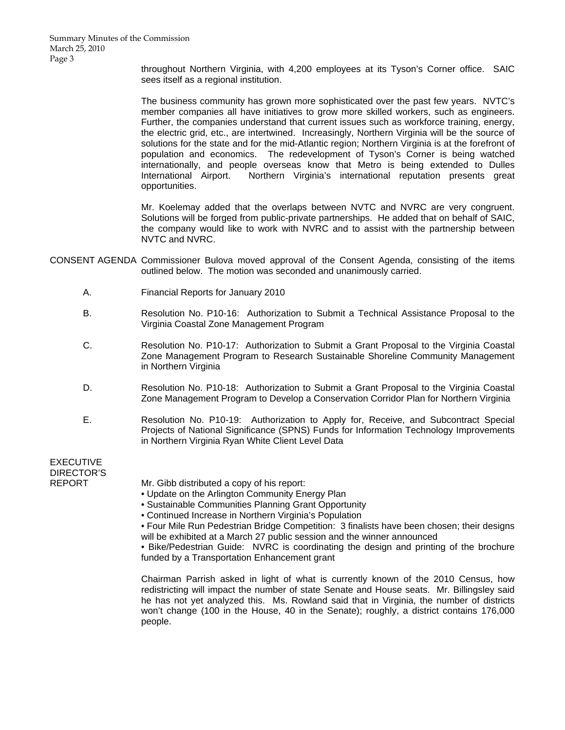throughout Northern Virginia, with 4,200 employees at its Tyson's Corner office. SAIC sees itself as a regional institution.

 The business community has grown more sophisticated over the past few years. NVTC's member companies all have initiatives to grow more skilled workers, such as engineers. Further, the companies understand that current issues such as workforce training, energy, the electric grid, etc., are intertwined. Increasingly, Northern Virginia will be the source of solutions for the state and for the mid-Atlantic region; Northern Virginia is at the forefront of population and economics. The redevelopment of Tyson's Corner is being watched internationally, and people overseas know that Metro is being extended to Dulles International Airport. Northern Virginia's international reputation presents great opportunities.

 Mr. Koelemay added that the overlaps between NVTC and NVRC are very congruent. Solutions will be forged from public-private partnerships. He added that on behalf of SAIC, the company would like to work with NVRC and to assist with the partnership between NVTC and NVRC.

- CONSENT AGENDA Commissioner Bulova moved approval of the Consent Agenda, consisting of the items outlined below. The motion was seconded and unanimously carried.
	- A. Financial Reports for January 2010
	- B. Resolution No. P10-16: Authorization to Submit a Technical Assistance Proposal to the Virginia Coastal Zone Management Program
	- C. Resolution No. P10-17: Authorization to Submit a Grant Proposal to the Virginia Coastal Zone Management Program to Research Sustainable Shoreline Community Management in Northern Virginia
	- D. Resolution No. P10-18: Authorization to Submit a Grant Proposal to the Virginia Coastal Zone Management Program to Develop a Conservation Corridor Plan for Northern Virginia
	- E. Resolution No. P10-19: Authorization to Apply for, Receive, and Subcontract Special Projects of National Significance (SPNS) Funds for Information Technology Improvements in Northern Virginia Ryan White Client Level Data

EXECUTIVE DIRECTOR'S

REPORT Mr. Gibb distributed a copy of his report:

- Update on the Arlington Community Energy Plan
- Sustainable Communities Planning Grant Opportunity
- Continued Increase in Northern Virginia's Population

• Four Mile Run Pedestrian Bridge Competition: 3 finalists have been chosen; their designs will be exhibited at a March 27 public session and the winner announced

• Bike/Pedestrian Guide: NVRC is coordinating the design and printing of the brochure funded by a Transportation Enhancement grant

 Chairman Parrish asked in light of what is currently known of the 2010 Census, how redistricting will impact the number of state Senate and House seats. Mr. Billingsley said he has not yet analyzed this. Ms. Rowland said that in Virginia, the number of districts won't change (100 in the House, 40 in the Senate); roughly, a district contains 176,000 people.